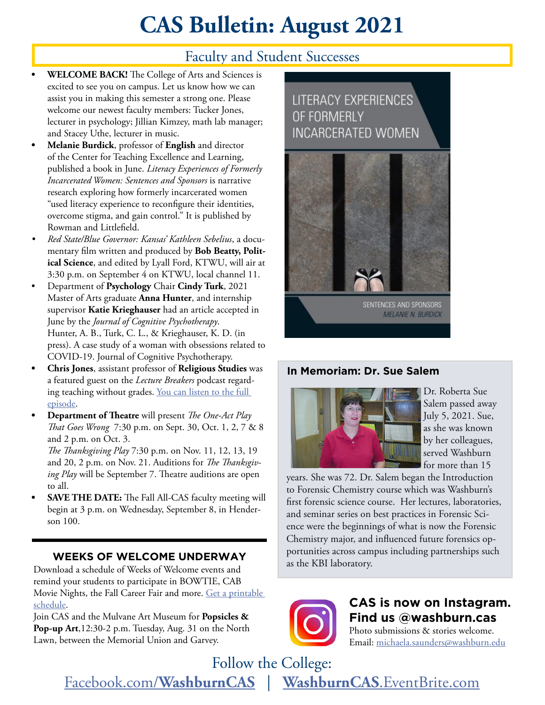# **CAS Bulletin: August 2021**

## Faculty and Student Successes

- **• WELCOME BACK!** The College of Arts and Sciences is excited to see you on campus. Let us know how we can assist you in making this semester a strong one. Please welcome our newest faculty members: Tucker Jones, lecturer in psychology; Jillian Kimzey, math lab manager; and Stacey Uthe, lecturer in music.
- **• Melanie Burdick**, professor of **English** and director of the Center for Teaching Excellence and Learning, published a book in June. *Literacy Experiences of Formerly Incarcerated Women: Sentences and Sponsors* is narrative research exploring how formerly incarcerated women "used literacy experience to reconfigure their identities, overcome stigma, and gain control." It is published by Rowman and Littlefield.
- *• Red State/Blue Governor: Kansas' Kathleen Sebelius*, a documentary film written and produced by **Bob Beatty, Political Science**, and edited by Lyall Ford, KTWU, will air at 3:30 p.m. on September 4 on KTWU, local channel 11.
- Department of **Psychology** Chair **Cindy Turk**, 2021 Master of Arts graduate **Anna Hunter**, and internship supervisor **Katie Krieghauser** had an article accepted in June by the *Journal of Cognitive Psychotherapy*. Hunter, A. B., Turk, C. L., & Krieghauser, K. D. (in press). A case study of a woman with obsessions related to COVID-19. Journal of Cognitive Psychotherapy.
- **• Chris Jones**, assistant professor of **Religious Studies** was a featured guest on the *Lecture Breakers* podcast regarding teaching without grades. You can listen to the full [episode.](https://barbihoneycutt.com/blogs/podcast/episode-89-lets-talk-about-ungrading-part-1-with-dr-chris-jones-and-dr-heather-miceli)
- **• Department of Theatre** will present *The One-Act Play That Goes Wrong* 7:30 p.m. on Sept. 30, Oct. 1, 2, 7 & 8 and 2 p.m. on Oct. 3.

*The Thanksgiving Play* 7:30 p.m. on Nov. 11, 12, 13, 19 and 20, 2 p.m. on Nov. 21. Auditions for *The Thanksgiving Play* will be September 7. Theatre auditions are open to all.

**• SAVE THE DATE:** The Fall All-CAS faculty meeting will begin at 3 p.m. on Wednesday, September 8, in Henderson 100.

#### **WEEKS OF WELCOME UNDERWAY**

Download a schedule of Weeks of Welcome events and remind your students to participate in BOWTIE, CAB Movie Nights, the Fall Career Fair and more. [Get a printable](https://www.washburn.edu/admissions/orientation/Files/2021-Weeks-of-Welcome-pocket-calendar.pdf)  [schedule.](https://www.washburn.edu/admissions/orientation/Files/2021-Weeks-of-Welcome-pocket-calendar.pdf)

Join CAS and the Mulvane Art Museum for **Popsicles & Pop-up Art**,12:30-2 p.m. Tuesday, Aug. 31 on the North Lawn, between the Memorial Union and Garvey.

## **LITERACY EXPERIENCES** OF FORMERLY **INCARCERATED WOMEN**



#### **In Memoriam: Dr. Sue Salem**



Dr. Roberta Sue Salem passed away July 5, 2021. Sue, as she was known by her colleagues, served Washburn for more than 15

years. She was 72. Dr. Salem began the Introduction to Forensic Chemistry course which was Washburn's first forensic science course. Her lectures, laboratories, and seminar series on best practices in Forensic Science were the beginnings of what is now the Forensic Chemistry major, and influenced future forensics opportunities across campus including partnerships such as the KBI laboratory.



**CAS is now on Instagram. Find us @washburn.cas**

Photo submissions & stories welcome. Email: [michaela.saunders@washburn.edu](mailto:michaela.saunders@washburn.edu)

Follow the College: Facebook.com/**[WashburnCAS](http://Facebook.com/WashburnCAS)** | **WashburnCAS**[.EventBrite.com](http://WashburnCAS.EventBrite.com)